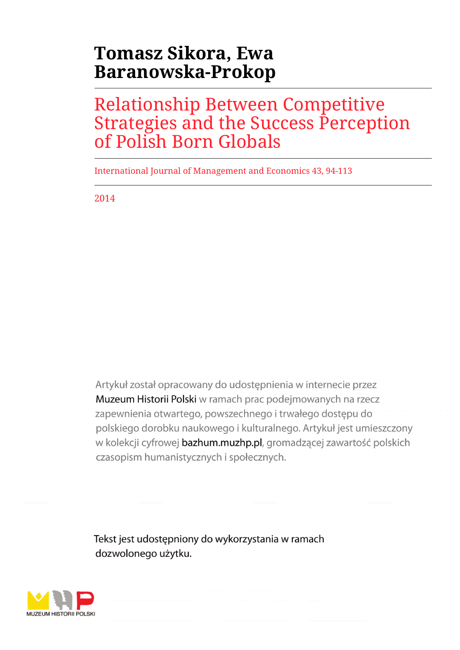# **Tomasz Sikora, Ewa Baranowska-Prokop**

## Relationship Between Competitive Strategies and the Success Perception of Polish Born Globals

International Journal of Management and Economics 43, 94-113

2014

Artykuł został opracowany do udostępnienia w internecie przez Muzeum Historii Polski w ramach prac podejmowanych na rzecz zapewnienia otwartego, powszechnego i trwałego dostępu do polskiego dorobku naukowego i kulturalnego. Artykuł jest umieszczony w kolekcji cyfrowej bazhum.muzhp.pl, gromadzącej zawartość polskich czasopism humanistycznych i społecznych.

Tekst jest udostępniony do wykorzystania w ramach dozwolonego użytku.

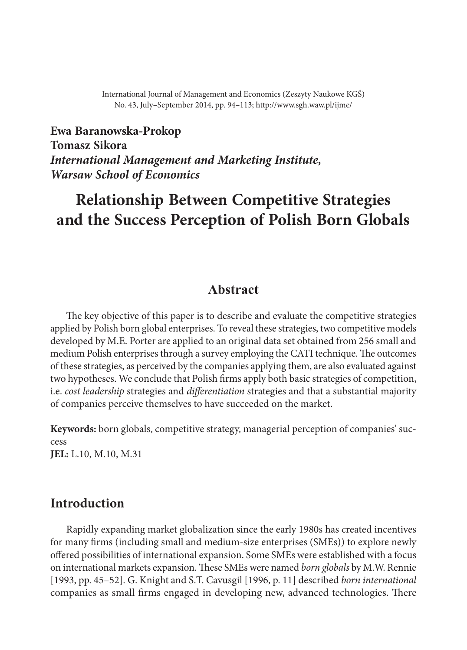International Journal of Management and Economics (Zeszyty Naukowe KGŚ) No. 43, July–September 2014, pp. 94–113; http://www.sgh.waw.pl/ijme/

**Ewa Baranowska‑Prokop Tomasz Sikora** *International Management and Marketing Institute, Warsaw School of Economics*

## **Relationship Between Competitive Strategies and the Success Perception of Polish Born Globals**

## **Abstract**

The key objective of this paper is to describe and evaluate the competitive strategies applied by Polish born global enterprises. To reveal these strategies, two competitive models developed by M.E. Porter are applied to an original data set obtained from 256 small and medium Polish enterprises through a survey employing the CATI technique. The outcomes of these strategies, as perceived by the companies applying them, are also evaluated against two hypotheses. We conclude that Polish firms apply both basic strategies of competition, i.e. *cost leadership* strategies and *differentiation* strategies and that a substantial majority of companies perceive themselves to have succeeded on the market.

**Keywords:** born globals, competitive strategy, managerial perception of companies' suc‑ cess **JEL:** L.10, M.10, M.31

## **Introduction**

Rapidly expanding market globalization since the early 1980s has created incentives for many firms (including small and medium‑size enterprises (SMEs)) to explore newly offered possibilities of international expansion. Some SMEs were established with a focus on international markets expansion. These SMEs were named *born globals* by M.W. Rennie [1993, pp. 45–52]. G. Knight and S.T. Cavusgil [1996, p. 11] described *born international* companies as small firms engaged in developing new, advanced technologies. There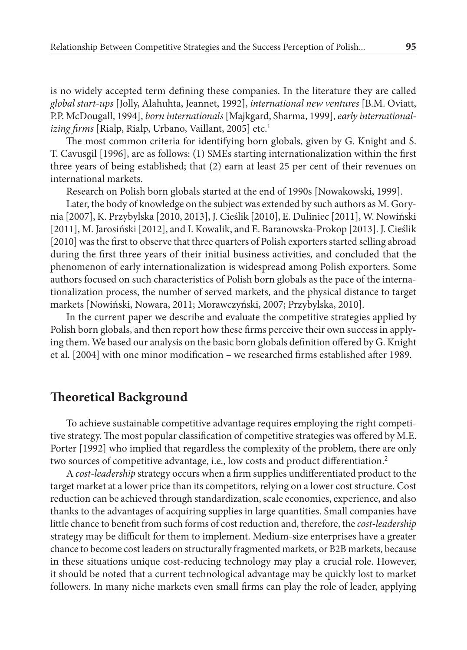is no widely accepted term defining these companies. In the literature they are called *global start‑ups* [Jolly, Alahuhta, Jeannet, 1992], *international new ventures* [B.M. Oviatt, P.P. McDougall, 1994], *born internationals* [Majkgard, Sharma, 1999], *early international‑ izing firms* [Rialp, Rialp, Urbano, Vaillant, 2005] etc. 1

The most common criteria for identifying born globals, given by G. Knight and S. T. Cavusgil [1996], are as follows: (1) SMEs starting internationalization within the first three years of being established; that (2) earn at least 25 per cent of their revenues on international markets.

Research on Polish born globals started at the end of 1990s [Nowakowski, 1999].

Later, the body of knowledge on the subject was extended by such authors as M. Gorynia [2007], K. Przybylska [2010, 2013], J. Cieślik [2010], E. Duliniec [2011], W. Nowiński [2011], M. Jarosiński [2012], and I. Kowalik, and E. Baranowska-Prokop [2013]. J. Cieślik [2010] was the first to observe that three quarters of Polish exporters started selling abroad during the first three years of their initial business activities, and concluded that the phenomenon of early internationalization is widespread among Polish exporters. Some authors focused on such characteristics of Polish born globals as the pace of the interna‑ tionalization process, the number of served markets, and the physical distance to target markets [Nowiński, Nowara, 2011; Morawczyński, 2007; Przybylska, 2010].

In the current paper we describe and evaluate the competitive strategies applied by Polish born globals, and then report how these firms perceive their own success in applying them. We based our analysis on the basic born globals definition offered by G. Knight et al. [2004] with one minor modification – we researched firms established after 1989.

## **Theoretical Background**

To achieve sustainable competitive advantage requires employing the right competitive strategy. The most popular classification of competitive strategies was offered by M.E. Porter [1992] who implied that regardless the complexity of the problem, there are only two sources of competitive advantage, i.e., low costs and product differentiation. 2

A *cost‑leadership* strategy occurs when a firm supplies undifferentiated product to the target market at a lower price than its competitors, relying on a lower cost structure. Cost reduction can be achieved through standardization, scale economies, experience, and also thanks to the advantages of acquiring supplies in large quantities. Small companies have little chance to benefit from such forms of cost reduction and, therefore, the *cost-leadership* strategy may be difficult for them to implement. Medium‑size enterprises have a greater chance to become cost leaders on structurally fragmented markets, or B2B markets, because in these situations unique cost-reducing technology may play a crucial role. However, it should be noted that a current technological advantage may be quickly lost to market followers. In many niche markets even small firms can play the role of leader, applying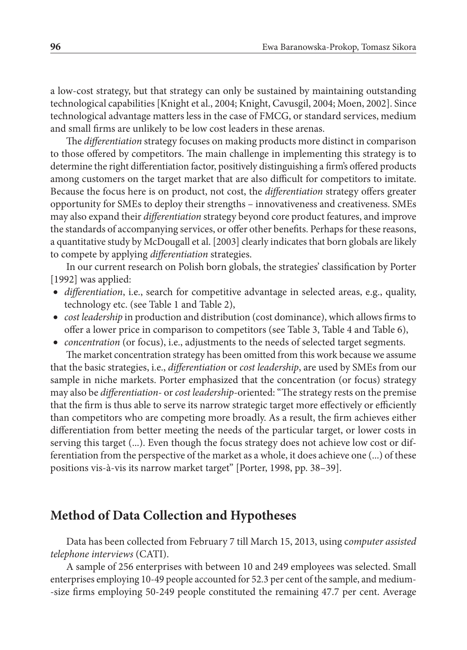a low‑cost strategy, but that strategy can only be sustained by maintaining outstanding technological capabilities [Knight et al., 2004; Knight, Cavusgil, 2004; Moen, 2002]. Since technological advantage matters less in the case of FMCG, or standard services, medium and small firms are unlikely to be low cost leaders in these arenas.

The *differentiation* strategy focuses on making products more distinct in comparison to those offered by competitors. The main challenge in implementing this strategy is to determine the right differentiation factor, positively distinguishing a firm's offered products among customers on the target market that are also difficult for competitors to imitate. Because the focus here is on product, not cost, the *differentiation* strategy offers greater opportunity for SMEs to deploy their strengths – innovativeness and creativeness. SMEs may also expand their *differentiation* strategy beyond core product features, and improve the standards of accompanying services, or offer other benefits. Perhaps for these reasons, a quantitative study by McDougall et al. [2003] clearly indicates that born globals are likely to compete by applying *differentiation* strategies.

In our current research on Polish born globals, the strategies' classification by Porter [1992] was applied:

- *differentiation*, i.e., search for competitive advantage in selected areas, e.g., quality, technology etc. (see Table 1 and Table 2),
- *cost leadership* in production and distribution (cost dominance), which allows firms to offer a lower price in comparison to competitors (see Table 3, Table 4 and Table 6),
- *concentration* (or focus), i.e., adjustments to the needs of selected target segments.

The market concentration strategy has been omitted from this work because we assume that the basic strategies, i.e., *differentiation* or *cost leadership*, are used by SMEs from our sample in niche markets. Porter emphasized that the concentration (or focus) strategy may also be *differentiation*- or *cost leadership*‑oriented: "The strategy rests on the premise that the firm is thus able to serve its narrow strategic target more effectively or efficiently than competitors who are competing more broadly. As a result, the firm achieves either differentiation from better meeting the needs of the particular target, or lower costs in serving this target (...). Even though the focus strategy does not achieve low cost or differentiation from the perspective of the market as a whole, it does achieve one (...) of these positions vis‑à‑vis its narrow market target" [Porter, 1998, pp. 38–39].

### **Method of Data Collection and Hypotheses**

Data has been collected from February 7 till March 15, 2013, using c*omputer assisted telephone interviews* (CATI).

A sample of 256 enterprises with between 10 and 249 employees was selected. Small enterprises employing 10-49 people accounted for 52.3 per cent of the sample, and medium-‑size firms employing 50-249 people constituted the remaining 47.7 per cent. Average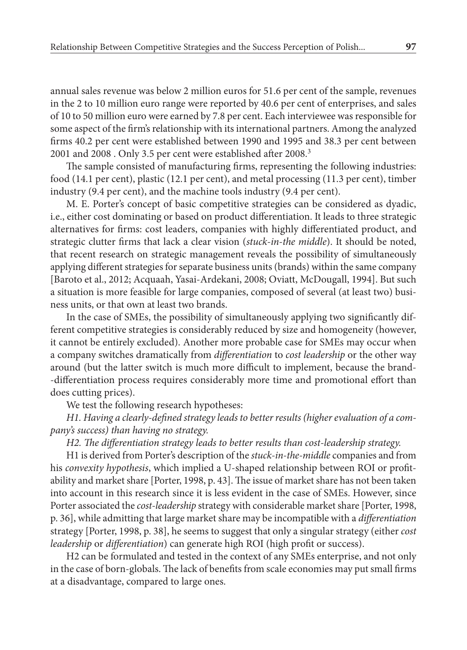annual sales revenue was below 2 million euros for 51.6 per cent of the sample, revenues in the 2 to 10 million euro range were reported by 40.6 per cent of enterprises, and sales of 10 to 50 million euro were earned by 7.8 per cent. Each interviewee was responsible for some aspect of the firm's relationship with its international partners. Among the analyzed firms 40.2 per cent were established between 1990 and 1995 and 38.3 per cent between 2001 and 2008 . Only 3.5 per cent were established after 2008. 3

The sample consisted of manufacturing firms, representing the following industries: food (14.1 per cent), plastic (12.1 per cent), and metal processing (11.3 per cent), timber industry (9.4 per cent), and the machine tools industry (9.4 per cent).

M. E. Porter's concept of basic competitive strategies can be considered as dyadic, i.e., either cost dominating or based on product differentiation. It leads to three strategic alternatives for firms: cost leaders, companies with highly differentiated product, and strategic clutter firms that lack a clear vision (*stuck‑in‑the middle*). It should be noted, that recent research on strategic management reveals the possibility of simultaneously applying different strategies for separate business units (brands) within the same company [Baroto et al., 2012; Acquaah, Yasai‑Ardekani, 2008; Oviatt, McDougall, 1994]. But such a situation is more feasible for large companies, composed of several (at least two) business units, or that own at least two brands.

In the case of SMEs, the possibility of simultaneously applying two significantly different competitive strategies is considerably reduced by size and homogeneity (however, it cannot be entirely excluded). Another more probable case for SMEs may occur when a company switches dramatically from *differentiation* to *cost leadership* or the other way around (but the latter switch is much more difficult to implement, because the brand‑ ‑differentiation process requires considerably more time and promotional effort than does cutting prices).

We test the following research hypotheses:

*H1. Having a clearly‑defined strategy leads to better results (higher evaluation of a com‑ pany's success) than having no strategy.*

*H2. The differentiation strategy leads to better results than cost‑leadership strategy.*

H1 is derived from Porter's description of the *stuck‑in‑the‑middle* companies and from his *convexity hypothesis*, which implied a U‑shaped relationship between ROI or profit‑ ability and market share [Porter, 1998, p. 43]. The issue of market share has not been taken into account in this research since it is less evident in the case of SMEs. However, since Porter associated the *cost‑leadership* strategy with considerable market share [Porter, 1998, p. 36], while admitting that large market share may be incompatible with a *differentiation* strategy [Porter, 1998, p. 38], he seems to suggest that only a singular strategy (either *cost leadership* or *differentiation*) can generate high ROI (high profit or success).

H2 can be formulated and tested in the context of any SMEs enterprise, and not only in the case of born-globals. The lack of benefits from scale economies may put small firms at a disadvantage, compared to large ones.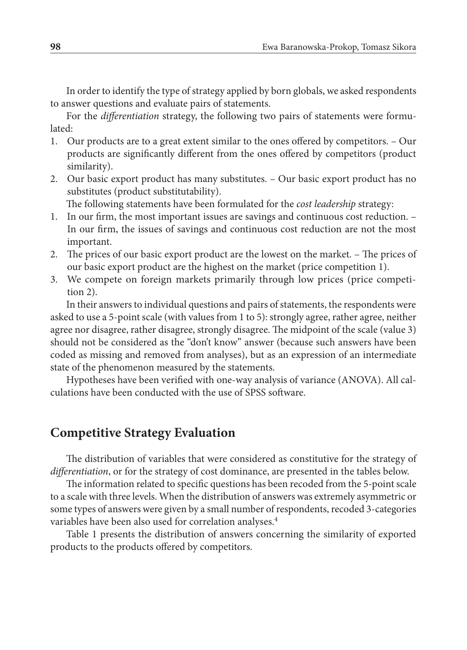In order to identify the type of strategy applied by born globals, we asked respondents to answer questions and evaluate pairs of statements.

For the *differentiation* strategy, the following two pairs of statements were formulated:

- 1. Our products are to a great extent similar to the ones offered by competitors. Our products are significantly different from the ones offered by competitors (product similarity).
- 2. Our basic export product has many substitutes. Our basic export product has no substitutes (product substitutability).

The following statements have been formulated for the *cost leadership* strategy:

- 1. In our firm, the most important issues are savings and continuous cost reduction. In our firm, the issues of savings and continuous cost reduction are not the most important.
- 2. The prices of our basic export product are the lowest on the market. The prices of our basic export product are the highest on the market (price competition 1).
- 3. We compete on foreign markets primarily through low prices (price competition 2).

In their answers to individual questions and pairs of statements, the respondents were asked to use a 5‑point scale (with values from 1 to 5): strongly agree, rather agree, neither agree nor disagree, rather disagree, strongly disagree. The midpoint of the scale (value 3) should not be considered as the "don't know" answer (because such answers have been coded as missing and removed from analyses), but as an expression of an intermediate state of the phenomenon measured by the statements.

Hypotheses have been verified with one‑way analysis of variance (ANOVA). All cal‑ culations have been conducted with the use of SPSS software.

## **Competitive Strategy Evaluation**

The distribution of variables that were considered as constitutive for the strategy of *differentiation*, or for the strategy of cost dominance, are presented in the tables below.

The information related to specific questions has been recoded from the 5‑point scale to a scale with three levels. When the distribution of answers was extremely asymmetric or some types of answers were given by a small number of respondents, recoded 3-categories variables have been also used for correlation analyses. 4

Table 1 presents the distribution of answers concerning the similarity of exported products to the products offered by competitors.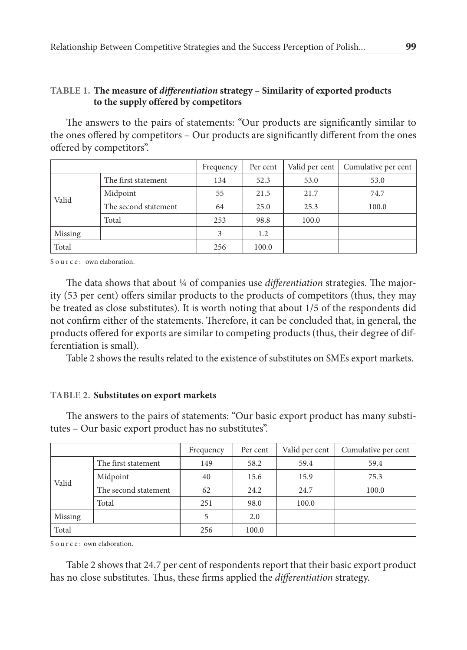#### **Table 1. The measure of** *differentiation* **strategy – Similarity of exported products to the supply offered by competitors**

The answers to the pairs of statements: "Our products are significantly similar to the ones offered by competitors – Our products are significantly different from the ones offered by competitors".

|         |                      | Frequency | Per cent | Valid per cent | Cumulative per cent |
|---------|----------------------|-----------|----------|----------------|---------------------|
| Valid   | The first statement  | 134       | 52.3     | 53.0           | 53.0                |
|         | Midpoint             | 55        | 21.5     | 21.7           | 74.7                |
|         | The second statement | 64        | 25.0     | 25.3           | 100.0               |
|         | Total                | 253       | 98.8     | 100.0          |                     |
| Missing |                      | 3         | 1.2      |                |                     |
| Total   |                      | 256       | 100.0    |                |                     |

Source: own elaboration.

The data shows that about ¼ of companies use *differentiation* strategies. The major– ity (53 per cent) offers similar products to the products of competitors (thus, they may be treated as close substitutes). It is worth noting that about 1/5 of the respondents did not confirm either of the statements. Therefore, it can be concluded that, in general, the products offered for exports are similar to competing products (thus, their degree of differentiation is small).

Table 2 shows the results related to the existence of substitutes on SMEs export markets.

#### **Table 2. Substitutes on export markets**

The answers to the pairs of statements: "Our basic export product has many substitutes – Our basic export product has no substitutes".

|         |                      | Frequency | Per cent | Valid per cent | Cumulative per cent |
|---------|----------------------|-----------|----------|----------------|---------------------|
| Valid   | The first statement  | 149       | 58.2     | 59.4           | 59.4                |
|         | Midpoint             | 40        | 15.6     | 15.9           | 75.3                |
|         | The second statement | 62        | 24.2     | 24.7           | 100.0               |
|         | Total                | 251       | 98.0     | 100.0          |                     |
| Missing |                      | 5         | 2.0      |                |                     |
| Total   |                      | 256       | 100.0    |                |                     |

S o u r c e : own elaboration.

Table 2 shows that 24.7 per cent of respondents report that their basic export product has no close substitutes. Thus, these firms applied the *differentiation* strategy.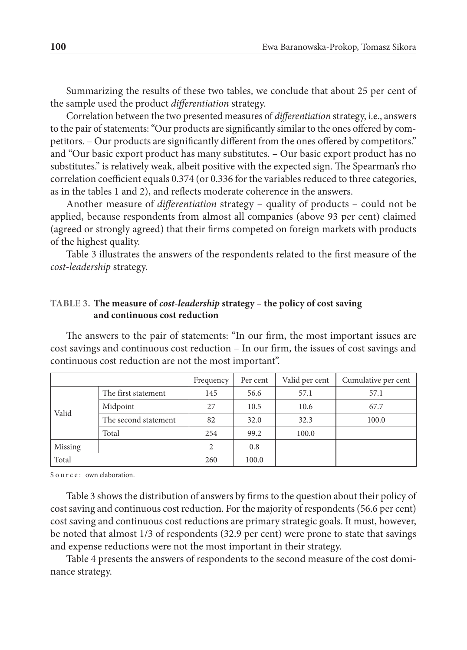Summarizing the results of these two tables, we conclude that about 25 per cent of the sample used the product *differentiation* strategy.

Correlation between the two presented measures of *differentiation* strategy, i.e., answers to the pair of statements: "Our products are significantly similar to the ones offered by competitors. – Our products are significantly different from the ones offered by competitors." and "Our basic export product has many substitutes. – Our basic export product has no substitutes." is relatively weak, albeit positive with the expected sign. The Spearman's rho correlation coefficient equals 0.374 (or 0.336 for the variables reduced to three categories, as in the tables 1 and 2), and reflects moderate coherence in the answers.

Another measure of *differentiation* strategy – quality of products – could not be applied, because respondents from almost all companies (above 93 per cent) claimed (agreed or strongly agreed) that their firms competed on foreign markets with products of the highest quality.

Table 3 illustrates the answers of the respondents related to the first measure of the *cost‑leadership* strategy.

#### **Table 3. The measure of** *cost‑leadership* **strategy – the policy of cost saving and continuous cost reduction**

The answers to the pair of statements: "In our firm, the most important issues are cost savings and continuous cost reduction – In our firm, the issues of cost savings and continuous cost reduction are not the most important".

|         |                      | Frequency | Per cent | Valid per cent | Cumulative per cent |
|---------|----------------------|-----------|----------|----------------|---------------------|
|         | The first statement  | 145       | 56.6     | 57.1           | 57.1                |
|         | Midpoint             | 27        | 10.5     | 10.6           | 67.7                |
| Valid   | The second statement | 82        | 32.0     | 32.3           | 100.0               |
|         | Total                | 254       | 99.2     | 100.0          |                     |
| Missing |                      | 2         | 0.8      |                |                     |
| Total   |                      | 260       | 100.0    |                |                     |

Source: own elaboration.

Table 3 shows the distribution of answers by firms to the question about their policy of cost saving and continuous cost reduction. For the majority of respondents (56.6 per cent) cost saving and continuous cost reductions are primary strategic goals. It must, however, be noted that almost 1/3 of respondents (32.9 per cent) were prone to state that savings and expense reductions were not the most important in their strategy.

Table 4 presents the answers of respondents to the second measure of the cost dominance strategy.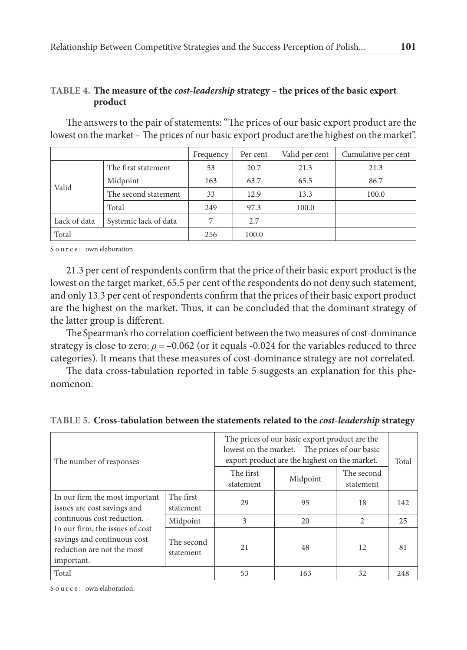#### **Table 4. The measure of the** *cost‑leadership* **strategy – the prices of the basic export product**

The answers to the pair of statements: "The prices of our basic export product are the lowest on the market – The prices of our basic export product are the highest on the market".

|              |                       | Frequency | Per cent | Valid per cent | Cumulative per cent |
|--------------|-----------------------|-----------|----------|----------------|---------------------|
|              | The first statement   | 53        | 20.7     | 21.3           | 21.3                |
| Valid        | Midpoint              | 163       | 63.7     | 65.5           | 86.7                |
|              | The second statement  | 33        | 12.9     | 13.3           | 100.0               |
|              | Total                 | 249       | 97.3     | 100.0          |                     |
| Lack of data | Systemic lack of data | 7         | 2.7      |                |                     |
| Total        |                       | 256       | 100.0    |                |                     |

Source: own elaboration.

21.3 per cent of respondents confirm that the price of their basic export product is the lowest on the target market, 65.5 per cent of the respondents do not deny such statement, and only 13.3 per cent of respondents confirm that the prices of their basic export product are the highest on the market. Thus, it can be concluded that the dominant strategy of the latter group is different.

The Spearman's rho correlation coefficient between the two measures of cost-dominance strategy is close to zero:  $\rho = -0.062$  (or it equals -0.024 for the variables reduced to three categories). It means that these measures of cost‑dominance strategy are not correlated.

The data cross-tabulation reported in table 5 suggests an explanation for this phenomenon.

|                                          | The prices of our basic export product are the  |          |            |       |
|------------------------------------------|-------------------------------------------------|----------|------------|-------|
|                                          | lowest on the market. - The prices of our basic |          |            |       |
| The number of responses                  | export product are the highest on the market.   |          |            | Total |
|                                          | The first                                       | Midpoint | The second |       |
|                                          | statement                                       |          | statement  |       |
| In our firm the most important The first | - -                                             |          | . .        |       |

Total  $\begin{array}{|c|c|c|c|c|c|c|c|} \hline \end{array}$  53  $\begin{array}{|c|c|c|c|c|} \hline \end{array}$  53  $\begin{array}{|c|c|c|c|c|c|} \hline \end{array}$  53  $\begin{array}{|c|c|c|c|c|} \hline \end{array}$  52  $\begin{array}{|c|c|c|c|c|c|} \hline \end{array}$ 

29 95 18 142

21 48 12 81

Midpoint 3 20 2 25

statement

The second statement

#### **Table 5. Cross‑tabulation between the statements related to the** *cost‑leadership* **strategy**

Source: own elaboration.

important.

issues are cost savings and continuous cost reduction. – In our firm, the issues of cost savings and continuous cost reduction are not the most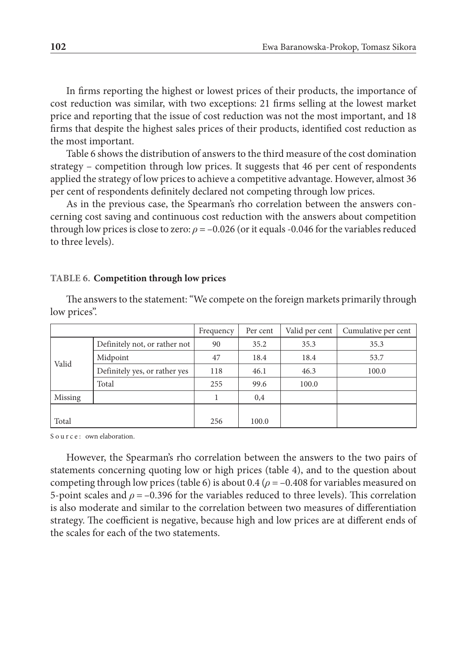In firms reporting the highest or lowest prices of their products, the importance of cost reduction was similar, with two exceptions: 21 firms selling at the lowest market price and reporting that the issue of cost reduction was not the most important, and 18 firms that despite the highest sales prices of their products, identified cost reduction as the most important.

Table 6 shows the distribution of answers to the third measure of the cost domination strategy – competition through low prices. It suggests that 46 per cent of respondents applied the strategy of low prices to achieve a competitive advantage. However, almost 36 per cent of respondents definitely declared not competing through low prices.

As in the previous case, the Spearman's rho correlation between the answers concerning cost saving and continuous cost reduction with the answers about competition through low prices is close to zero: *ρ* = –0.026 (or it equals -0.046 for the variables reduced to three levels).

#### **Table 6. Competition through low prices**

The answers to the statement: "We compete on the foreign markets primarily through low prices".

|         |                               | Frequency | Per cent | Valid per cent | Cumulative per cent |
|---------|-------------------------------|-----------|----------|----------------|---------------------|
|         | Definitely not, or rather not | 90        | 35.2     | 35.3           | 35.3                |
|         | Midpoint                      | 47        | 18.4     | 18.4           | 53.7                |
| Valid   | Definitely yes, or rather yes | 118       | 46.1     | 46.3           | 100.0               |
|         | Total                         | 255       | 99.6     | 100.0          |                     |
| Missing |                               |           | 0,4      |                |                     |
|         |                               |           |          |                |                     |
| Total   |                               | 256       | 100.0    |                |                     |

Source: own elaboration.

However, the Spearman's rho correlation between the answers to the two pairs of statements concerning quoting low or high prices (table 4), and to the question about competing through low prices (table 6) is about  $0.4$  ( $\rho = -0.408$  for variables measured on 5‑point scales and *ρ* = –0.396 for the variables reduced to three levels). This correlation is also moderate and similar to the correlation between two measures of differentiation strategy. The coefficient is negative, because high and low prices are at different ends of the scales for each of the two statements.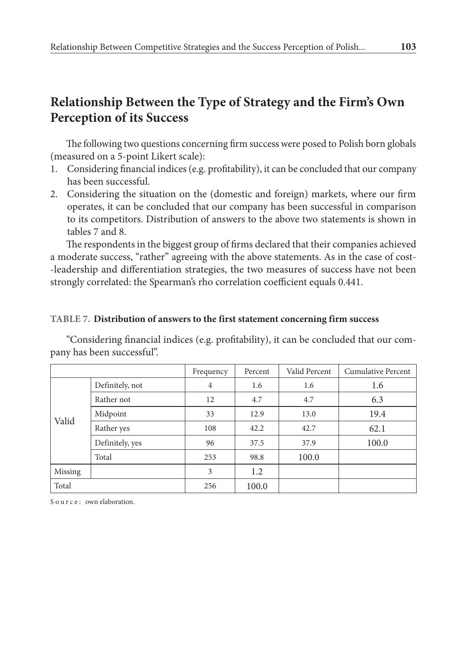## **Relationship Between the Type of Strategy and the Firm's Own Perception of its Success**

The following two questions concerning firm success were posed to Polish born globals (measured on a 5‑point Likert scale):

- 1. Considering financial indices (e.g. profitability), it can be concluded that our company has been successful.
- 2. Considering the situation on the (domestic and foreign) markets, where our firm operates, it can be concluded that our company has been successful in comparison to its competitors. Distribution of answers to the above two statements is shown in tables 7 and 8.

The respondents in the biggest group of firms declared that their companies achieved a moderate success, "rather" agreeing with the above statements. As in the case of cost-‑leadership and differentiation strategies, the two measures of success have not been strongly correlated: the Spearman's rho correlation coefficient equals 0.441.

#### **Table 7. Distribution of answers to the first statement concerning firm success**

"Considering financial indices (e.g. profitability), it can be concluded that our com‑ pany has been successful".

|         |                 | Frequency      | Percent | Valid Percent | <b>Cumulative Percent</b> |
|---------|-----------------|----------------|---------|---------------|---------------------------|
|         | Definitely, not | $\overline{4}$ | 1.6     | 1.6           | 1.6                       |
|         | Rather not      | 12             | 4.7     | 4.7           | 6.3                       |
|         | Midpoint        | 33             | 12.9    | 13.0          | 19.4                      |
| Valid   | Rather yes      | 108            | 42.2    | 42.7          | 62.1                      |
|         | Definitely, yes | 96             | 37.5    | 37.9          | 100.0                     |
|         | Total           | 253            | 98.8    | 100.0         |                           |
| Missing |                 | 3              | 1.2     |               |                           |
| Total   |                 | 256            | 100.0   |               |                           |

Source: own elaboration.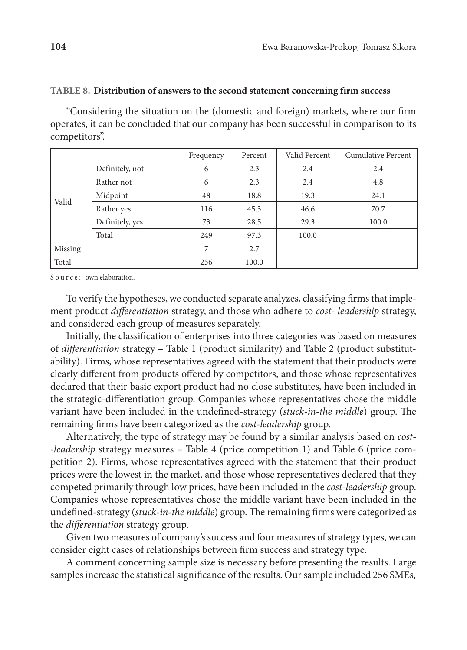#### **Table 8. Distribution of answers to the second statement concerning firm success**

"Considering the situation on the (domestic and foreign) markets, where our firm operates, it can be concluded that our company has been successful in comparison to its competitors".

|         |                 | Frequency | Percent | Valid Percent | <b>Cumulative Percent</b> |
|---------|-----------------|-----------|---------|---------------|---------------------------|
| Valid   | Definitely, not | 6         | 2.3     | 2.4           | 2.4                       |
|         | Rather not      | 6         | 2.3     | 2.4           | 4.8                       |
|         | Midpoint        | 48        | 18.8    | 19.3          | 24.1                      |
|         | Rather yes      | 116       | 45.3    | 46.6          | 70.7                      |
|         | Definitely, yes | 73        | 28.5    | 29.3          | 100.0                     |
|         | Total           | 249       | 97.3    | 100.0         |                           |
| Missing |                 | 7         | 2.7     |               |                           |
| Total   |                 | 256       | 100.0   |               |                           |

Source: own elaboration.

To verify the hypotheses, we conducted separate analyzes, classifying firms that implement product *differentiation* strategy, and those who adhere to *cost- leadership* strategy, and considered each group of measures separately.

Initially, the classification of enterprises into three categories was based on measures of *differentiation* strategy – Table 1 (product similarity) and Table 2 (product substitutability). Firms, whose representatives agreed with the statement that their products were clearly different from products offered by competitors, and those whose representatives declared that their basic export product had no close substitutes, have been included in the strategic‑differentiation group. Companies whose representatives chose the middle variant have been included in the undefined‑strategy (*stuck‑in‑the middle*) group. The remaining firms have been categorized as the *cost‑leadership* group.

Alternatively, the type of strategy may be found by a similar analysis based on *cost‑ •leadership* strategy measures – Table 4 (price competition 1) and Table 6 (price com petition 2). Firms, whose representatives agreed with the statement that their product prices were the lowest in the market, and those whose representatives declared that they competed primarily through low prices, have been included in the *cost-leadership* group. Companies whose representatives chose the middle variant have been included in the undefined–strategy (*stuck-in-the middle*) group. The remaining firms were categorized as the *differentiation* strategy group.

Given two measures of company's success and four measures of strategy types, we can consider eight cases of relationships between firm success and strategy type.

A comment concerning sample size is necessary before presenting the results. Large samples increase the statistical significance of the results. Our sample included 256 SMEs,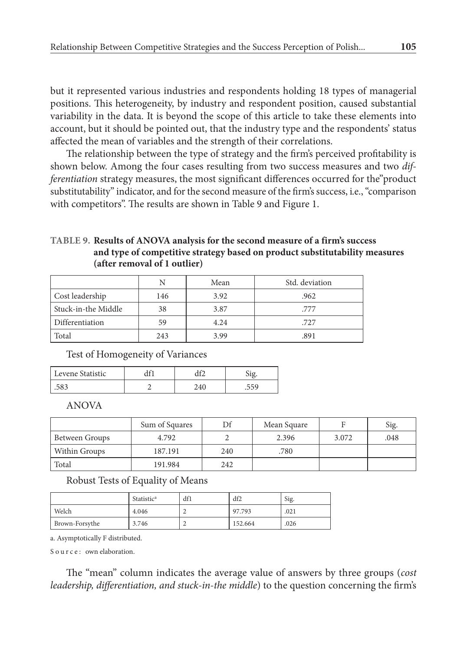but it represented various industries and respondents holding 18 types of managerial positions. This heterogeneity, by industry and respondent position, caused substantial variability in the data. It is beyond the scope of this article to take these elements into account, but it should be pointed out, that the industry type and the respondents' status affected the mean of variables and the strength of their correlations.

The relationship between the type of strategy and the firm's perceived profitability is shown below. Among the four cases resulting from two success measures and two *dif‑ ferentiation* strategy measures, the most significant differences occurred for the"product substitutability" indicator, and for the second measure of the firm's success, i.e., "comparison with competitors". The results are shown in Table 9 and Figure 1.

#### **Table 9. Results of ANOVA analysis for the second measure of a firm's success and type of competitive strategy based on product substitutability measures (after removal of 1 outlier)**

|                     |     | Mean | Std. deviation |
|---------------------|-----|------|----------------|
| Cost leadership     | 146 | 3.92 | .962           |
| Stuck-in-the Middle | 38  | 3.87 | .777           |
| Differentiation     | 59  | 4.24 | .727           |
| Total               | 243 | 3.99 | .891           |

Test of Homogeneity of Variances

| Levene Statistic |  |  |
|------------------|--|--|
| .JOJ             |  |  |

ANOVA

|                | Sum of Squares | Df  | Mean Square |       | Sig. |
|----------------|----------------|-----|-------------|-------|------|
| Between Groups | 4.792          |     | 2.396       | 3.072 | .048 |
| Within Groups  | 187.191        | 240 | .780        |       |      |
| Total          | 191.984        | 242 |             |       |      |

Robust Tests of Equality of Means

|                | <b>Statistic<sup>a</sup></b> | df1 | df2     | Sig. |
|----------------|------------------------------|-----|---------|------|
| Welch          | 4.046                        | ∼   | 97.793  | .021 |
| Brown-Forsythe | 3.746                        | ∼   | 152.664 | .026 |

a. Asymptotically F distributed.

Source: own elaboration.

The "mean" column indicates the average value of answers by three groups (*cost leadership, differentiation, and stuck‑in‑the middle*) to the question concerning the firm's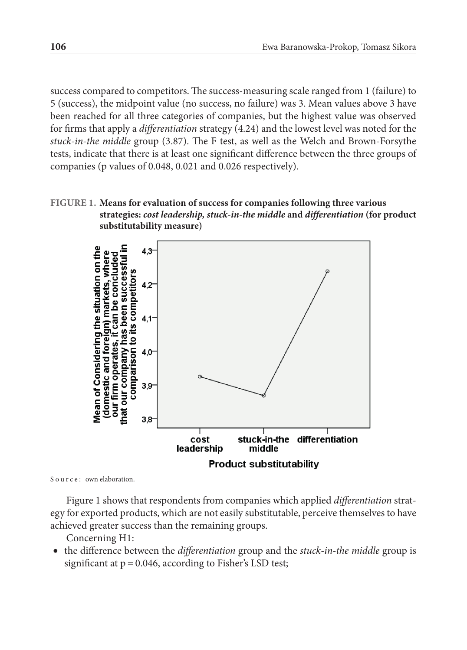success compared to competitors. The success‑measuring scale ranged from 1 (failure) to 5 (success), the midpoint value (no success, no failure) was 3. Mean values above 3 have been reached for all three categories of companies, but the highest value was observed for firms that apply a *differentiation* strategy (4.24) and the lowest level was noted for the *stuck‑in‑the middle* group (3.87). The F test, as well as the Welch and Brown‑Forsythe tests, indicate that there is at least one significant difference between the three groups of companies (p values of 0.048, 0.021 and 0.026 respectively).

#### **Figure 1. Means for evaluation of success for companies following three various strategies:** *cost leadership, stuck‑in‑the middle* **and** *differentiation* **(for product substitutability measure)**



Source: own elaboration.

Figure 1 shows that respondents from companies which applied *differentiation* strat‑ egy for exported products, which are not easily substitutable, perceive themselves to have achieved greater success than the remaining groups.

Concerning H1:

• the difference between the *differentiation* group and the *stuck‑in‑the middle* group is significant at  $p = 0.046$ , according to Fisher's LSD test;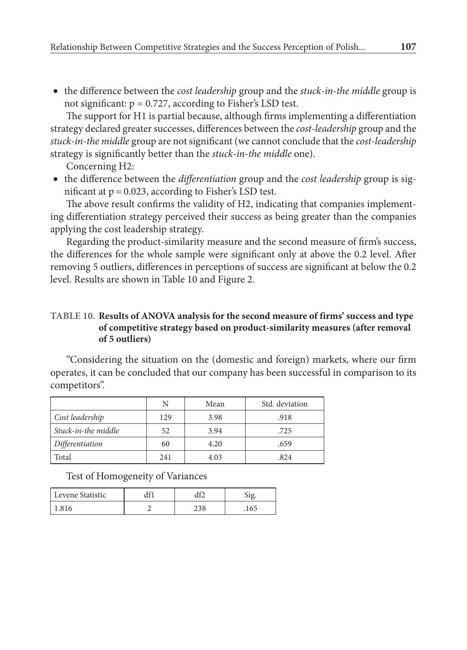• the difference between the *cost leadership* group and the *stuck‑in‑the middle* group is not significant:  $p = 0.727$ , according to Fisher's LSD test.

The support for H1 is partial because, although firms implementing a differentiation strategy declared greater successes, differences between the *cost‑leadership* group and the *stuck‑in‑the middle* group are not significant (we cannot conclude that the *cost‑leadership* strategy is significantly better than the *stuck‑in‑the middle* one).

Concerning H2:

• the difference between the *differentiation* group and the *cost leadership* group is significant at  $p = 0.023$ , according to Fisher's LSD test.

The above result confirms the validity of H2, indicating that companies implement– ing differentiation strategy perceived their success as being greater than the companies applying the cost leadership strategy.

Regarding the product-similarity measure and the second measure of firm's success, the differences for the whole sample were significant only at above the 0.2 level. After removing 5 outliers, differences in perceptions of success are significant at below the 0.2 level. Results are shown in Table 10 and Figure 2.

#### **Table 10. Results of ANOVA analysis for the second measure of firms' success and type of competitive strategy based on product‑similarity measures (after removal of 5 outliers)**

"Considering the situation on the (domestic and foreign) markets, where our firm operates, it can be concluded that our company has been successful in comparison to its competitors".

|                     | N   | Mean | Std. deviation |
|---------------------|-----|------|----------------|
| Cost leadership     | 129 | 3.98 | .918           |
| Stuck-in-the middle | 52  | 3.94 | .725           |
| Differentiation     | 60  | 4.20 | .659           |
| Total               | 241 | 4.03 | .824           |

Test of Homogeneity of Variances

| Levene Statistic |  |  |
|------------------|--|--|
|                  |  |  |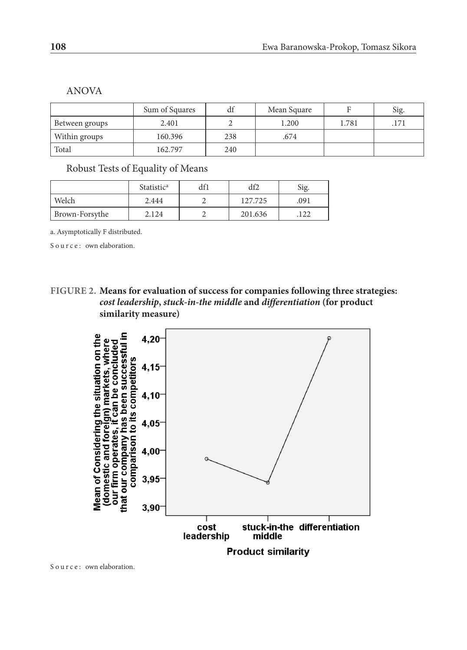|                | Sum of Squares | df  | Mean Square | г     | Sig. |
|----------------|----------------|-----|-------------|-------|------|
| Between groups | 2.401          |     | 1.200       | 1.781 | 171  |
| Within groups  | 160.396        | 238 | .674        |       |      |
| Total          | 162.797        | 240 |             |       |      |

Robust Tests of Equality of Means

|                | Statistic <sup>a</sup> | df1 | df2     | Sig. |
|----------------|------------------------|-----|---------|------|
| Welch          | 2.444                  |     | 127.725 | 091  |
| Brown-Forsythe | 2.124                  |     | 201.636 | 122  |

a. Asymptotically F distributed.

Source: own elaboration.

**Figure 2. Means for evaluation of success for companies following three strategies:**  *cost leadership***,** *stuck‑in‑the middle* **and** *differentiation* **(for product similarity measure)**



Source: own elaboration.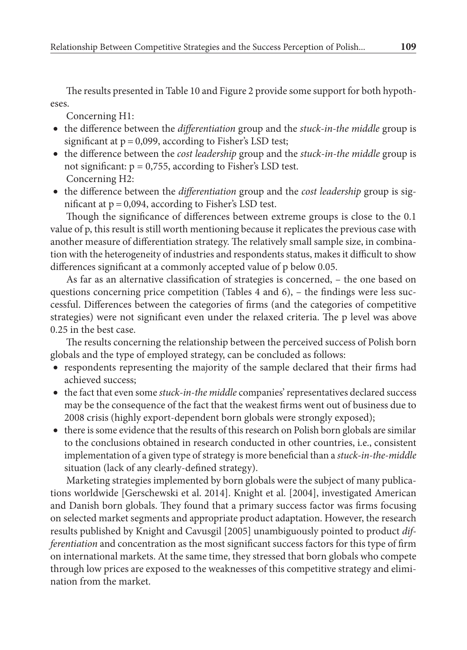The results presented in Table 10 and Figure 2 provide some support for both hypotheses.

Concerning H1:

- the difference between the *differentiation* group and the *stuck-in-the middle* group is significant at  $p = 0.099$ , according to Fisher's LSD test;
- the difference between the *cost leadership* group and the *stuck‑in‑the middle* group is not significant:  $p = 0.755$ , according to Fisher's LSD test. Concerning H2:
- the difference between the *differentiation* group and the *cost leadership* group is significant at  $p = 0.094$ , according to Fisher's LSD test.

Though the significance of differences between extreme groups is close to the 0.1 value of p, this result is still worth mentioning because it replicates the previous case with another measure of differentiation strategy. The relatively small sample size, in combination with the heterogeneity of industries and respondents status, makes it difficult to show differences significant at a commonly accepted value of p below 0.05.

As far as an alternative classification of strategies is concerned, – the one based on questions concerning price competition (Tables  $4$  and  $6$ ),  $-$  the findings were less successful. Differences between the categories of firms (and the categories of competitive strategies) were not significant even under the relaxed criteria. The p level was above 0.25 in the best case.

The results concerning the relationship between the perceived success of Polish born globals and the type of employed strategy, can be concluded as follows:

- respondents representing the majority of the sample declared that their firms had achieved success;
- the fact that even some *stuck-in-the middle* companies' representatives declared success may be the consequence of the fact that the weakest firms went out of business due to 2008 crisis (highly export-dependent born globals were strongly exposed);
- there is some evidence that the results of this research on Polish born globals are similar to the conclusions obtained in research conducted in other countries, i.e., consistent implementation of a given type of strategy is more beneficial than a *stuck‑in‑the‑middle* situation (lack of any clearly-defined strategy).

Marketing strategies implemented by born globals were the subject of many publications worldwide [Gerschewski et al. 2014]. Knight et al. [2004], investigated American and Danish born globals. They found that a primary success factor was firms focusing on selected market segments and appropriate product adaptation. However, the research results published by Knight and Cavusgil [2005] unambiguously pointed to product *dif‑ ferentiation* and concentration as the most significant success factors for this type of firm on international markets. At the same time, they stressed that born globals who compete through low prices are exposed to the weaknesses of this competitive strategy and elimination from the market.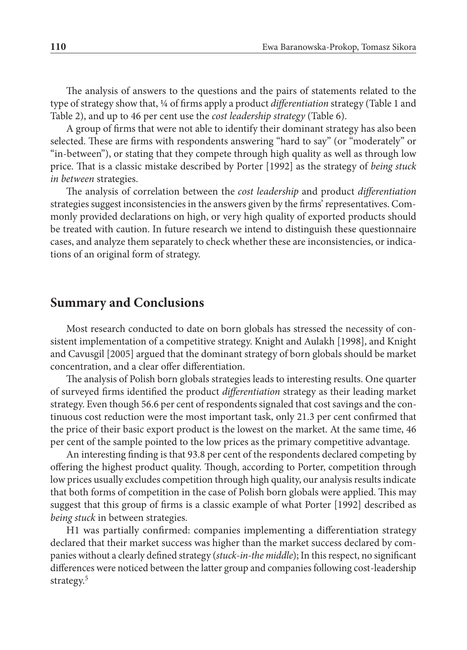The analysis of answers to the questions and the pairs of statements related to the type of strategy show that, ¼ of firms apply a product *differentiation* strategy (Table 1 and Table 2), and up to 46 per cent use the *cost leadership strategy* (Table 6).

A group of firms that were not able to identify their dominant strategy has also been selected. These are firms with respondents answering "hard to say" (or "moderately" or "in‑between"), or stating that they compete through high quality as well as through low price. That is a classic mistake described by Porter [1992] as the strategy of *being stuck in between* strategies.

The analysis of correlation between the *cost leadership* and product *differentiation* strategies suggest inconsistencies in the answers given by the firms' representatives. Commonly provided declarations on high, or very high quality of exported products should be treated with caution. In future research we intend to distinguish these questionnaire cases, and analyze them separately to check whether these are inconsistencies, or indications of an original form of strategy.

## **Summary and Conclusions**

Most research conducted to date on born globals has stressed the necessity of consistent implementation of a competitive strategy. Knight and Aulakh [1998], and Knight and Cavusgil [2005] argued that the dominant strategy of born globals should be market concentration, and a clear offer differentiation.

The analysis of Polish born globals strategies leads to interesting results. One quarter of surveyed firms identified the product *differentiation* strategy as their leading market strategy. Even though 56.6 per cent of respondents signaled that cost savings and the continuous cost reduction were the most important task, only 21.3 per cent confirmed that the price of their basic export product is the lowest on the market. At the same time, 46 per cent of the sample pointed to the low prices as the primary competitive advantage.

An interesting finding is that 93.8 per cent of the respondents declared competing by offering the highest product quality. Though, according to Porter, competition through low prices usually excludes competition through high quality, our analysis results indicate that both forms of competition in the case of Polish born globals were applied. This may suggest that this group of firms is a classic example of what Porter [1992] described as *being stuck* in between strategies.

H1 was partially confirmed: companies implementing a differentiation strategy declared that their market success was higher than the market success declared by companies without a clearly defined strategy (*stuck‑in‑the middle*); In this respect, no significant differences were noticed between the latter group and companies following cost-leadership strategy. 5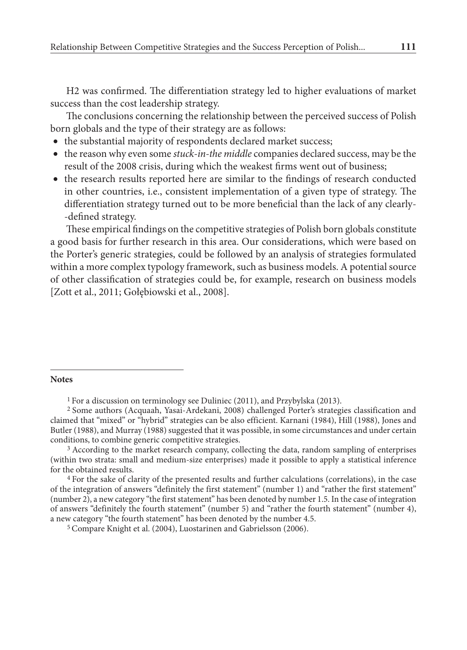H2 was confirmed. The differentiation strategy led to higher evaluations of market success than the cost leadership strategy.

The conclusions concerning the relationship between the perceived success of Polish born globals and the type of their strategy are as follows:

- the substantial majority of respondents declared market success;
- the reason why even some *stuck‑in‑the middle* companies declared success, may be the result of the 2008 crisis, during which the weakest firms went out of business;
- the research results reported here are similar to the findings of research conducted in other countries, i.e., consistent implementation of a given type of strategy. The differentiation strategy turned out to be more beneficial than the lack of any clearly‑ ‑defined strategy.

These empirical findings on the competitive strategies of Polish born globals constitute a good basis for further research in this area. Our considerations, which were based on the Porter's generic strategies, could be followed by an analysis of strategies formulated within a more complex typology framework, such as business models. A potential source of other classification of strategies could be, for example, research on business models [Zott et al., 2011; Gołębiowski et al., 2008].

#### **Notes**

5 Compare Knight et al. (2004), Luostarinen and Gabrielsson (2006).

<sup>1</sup> For a discussion on terminology see Duliniec (2011), and Przybylska (2013).

<sup>2</sup> Some authors (Acquaah, Yasai‑Ardekani, 2008) challenged Porter's strategies classification and claimed that "mixed" or "hybrid" strategies can be also efficient. Karnani (1984), Hill (1988), Jones and Butler (1988), and Murray (1988) suggested that it was possible, in some circumstances and under certain conditions, to combine generic competitive strategies.

<sup>&</sup>lt;sup>3</sup> According to the market research company, collecting the data, random sampling of enterprises (within two strata: small and medium‑size enterprises) made it possible to apply a statistical inference for the obtained results.

<sup>4</sup> For the sake of clarity of the presented results and further calculations (correlations), in the case of the integration of answers "definitely the first statement" (number 1) and "rather the first statement" (number 2), a new category "the first statement" has been denoted by number 1.5. In the case of integration of answers "definitely the fourth statement" (number 5) and "rather the fourth statement" (number 4), a new category "the fourth statement" has been denoted by the number 4.5.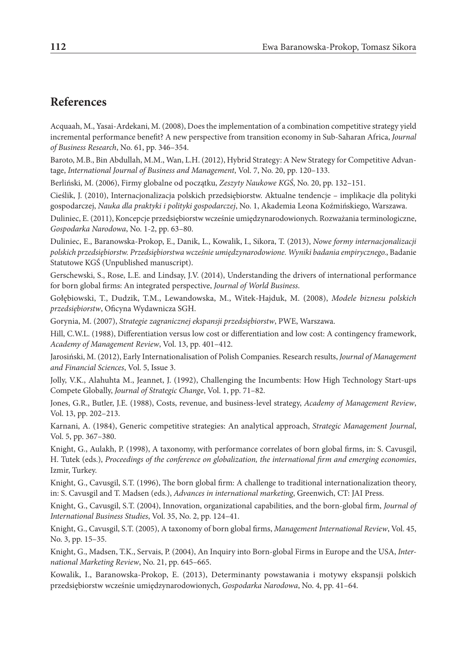### **References**

Acquaah, M., Yasai‑Ardekani, M. (2008), Does the implementation of a combination competitive strategy yield incremental performance benefit? A new perspective from transition economy in Sub‑Saharan Africa, *Journal of Business Research*, No. 61, pp. 346–354.

Baroto, M.B., Bin Abdullah, M.M., Wan, L.H. (2012), Hybrid Strategy: A New Strategy for Competitive Advantage, *International Journal of Business and Management*, Vol. 7, No. 20, pp. 120–133.

Berliński, M. (2006), Firmy globalne od początku, *Zeszyty Naukowe KGŚ*, No. 20, pp. 132–151.

Cieślik, J. (2010), Internacjonalizacja polskich przedsiębiorstw. Aktualne tendencje – implikacje dla polityki gospodarczej, *Nauka dla praktyki i polityki gospodarczej*, No. 1, Akademia Leona Koźmińskiego, Warszawa.

Duliniec, E. (2011), Koncepcje przedsiębiorstw wcześnie umiędzynarodowionych. Rozważania terminologiczne, *Gospodarka Narodowa*, No. 1-2, pp. 63–80.

Duliniec, E., Baranowska‑Prokop, E., Danik, L., Kowalik, I., Sikora, T. (2013), *Nowe formy internacjonalizacji polskich przedsiębiorstw. Przedsiębiorstwa wcześnie umiędzynarodowione. Wyniki badania empirycznego.*, Badanie Statutowe KGŚ (Unpublished manuscript).

Gerschewski, S., Rose, L.E. and Lindsay, J.V. (2014), Understanding the drivers of international performance for born global firms: An integrated perspective, *Journal of World Business*.

Gołębiowski, T., Dudzik, T.M., Lewandowska, M., Witek‑Hajduk, M. (2008), *Modele biznesu polskich przedsiębiorstw*, Oficyna Wydawnicza SGH.

Gorynia, M. (2007), *Strategie zagranicznej ekspansji przedsiębiorstw*, PWE, Warszawa.

Hill, C.W.L. (1988), Differentiation versus low cost or differentiation and low cost: A contingency framework, *Academy of Management Review*, Vol. 13, pp. 401–412.

Jarosiński, M. (2012), Early Internationalisation of Polish Companies. Research results, *Journal of Management and Financial Sciences*, Vol. 5, Issue 3.

Jolly, V.K., Alahuhta M., Jeannet, J. (1992), Challenging the Incumbents: How High Technology Start-ups Compete Globally, *Journal of Strategic Change*, Vol. 1, pp. 71–82.

Jones, G.R., Butler, J.E. (1988), Costs, revenue, and business‑level strategy, *Academy of Management Review*, Vol. 13, pp. 202–213.

Karnani, A. (1984), Generic competitive strategies: An analytical approach, *Strategic Management Journal*, Vol. 5, pp. 367–380.

Knight, G., Aulakh, P. (1998), A taxonomy, with performance correlates of born global firms, in: S. Cavusgil, H. Tutek (eds.), *Proceedings of the conference on globalization, the international firm and emerging economies*, Izmir, Turkey.

Knight, G., Cavusgil, S.T. (1996), The born global firm: A challenge to traditional internationalization theory, in: S. Cavusgil and T. Madsen (eds.), *Advances in international marketing*, Greenwich, CT: JAI Press.

Knight, G., Cavusgil, S.T. (2004), Innovation, organizational capabilities, and the born‑global firm, *Journal of International Business Studies*, Vol. 35, No. 2, pp. 124–41.

Knight, G., Cavusgil, S.T. (2005), A taxonomy of born global firms, *Management International Review*, Vol. 45, No. 3, pp. 15–35.

Knight, G., Madsen, T.K., Servais, P. (2004), An Inquiry into Born‑global Firms in Europe and the USA, *Inter‑ national Marketing Review*, No. 21, pp. 645–665.

Kowalik, I., Baranowska‑Prokop, E. (2013), Determinanty powstawania i motywy ekspansji polskich przedsiębiorstw wcześnie umiędzynarodowionych, *Gospodarka Narodowa*, No. 4, pp. 41–64.